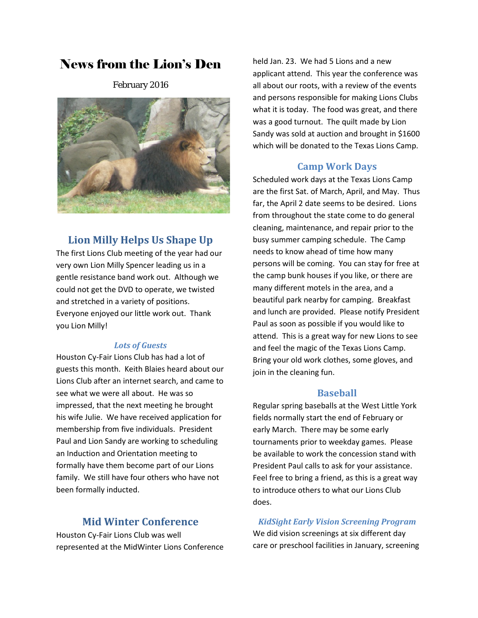# News from the Lion's Den

February 2016



# **Lion Milly Helps Us Shape Up**

The first Lions Club meeting of the year had our very own Lion Milly Spencer leading us in a gentle resistance band work out. Although we could not get the DVD to operate, we twisted and stretched in a variety of positions. Everyone enjoyed our little work out. Thank you Lion Milly!

#### *Lots of Guests*

Houston Cy-Fair Lions Club has had a lot of guests this month. Keith Blaies heard about our Lions Club after an internet search, and came to see what we were all about. He was so impressed, that the next meeting he brought his wife Julie. We have received application for membership from five individuals. President Paul and Lion Sandy are working to scheduling an Induction and Orientation meeting to formally have them become part of our Lions family. We still have four others who have not been formally inducted.

### **Mid Winter Conference**

Houston Cy-Fair Lions Club was well represented at the MidWinter Lions Conference

held Jan. 23. We had 5 Lions and a new applicant attend. This year the conference was all about our roots, with a review of the events and persons responsible for making Lions Clubs what it is today. The food was great, and there was a good turnout. The quilt made by Lion Sandy was sold at auction and brought in \$1600 which will be donated to the Texas Lions Camp.

#### **Camp Work Days**

Scheduled work days at the Texas Lions Camp are the first Sat. of March, April, and May. Thus far, the April 2 date seems to be desired. Lions from throughout the state come to do general cleaning, maintenance, and repair prior to the busy summer camping schedule. The Camp needs to know ahead of time how many persons will be coming. You can stay for free at the camp bunk houses if you like, or there are many different motels in the area, and a beautiful park nearby for camping. Breakfast and lunch are provided. Please notify President Paul as soon as possible if you would like to attend. This is a great way for new Lions to see and feel the magic of the Texas Lions Camp. Bring your old work clothes, some gloves, and join in the cleaning fun.

#### **Baseball**

Regular spring baseballs at the West Little York fields normally start the end of February or early March. There may be some early tournaments prior to weekday games. Please be available to work the concession stand with President Paul calls to ask for your assistance. Feel free to bring a friend, as this is a great way to introduce others to what our Lions Club does.

*KidSight Early Vision Screening Program* We did vision screenings at six different day care or preschool facilities in January, screening